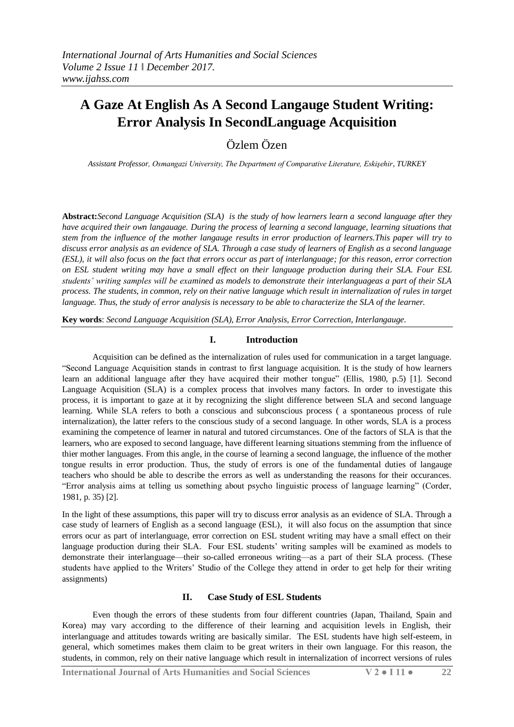# **A Gaze At English As A Second Langauge Student Writing: Error Analysis In SecondLanguage Acquisition**

Özlem Özen

*Assistant Professor, Osmangazi University, The Department of Comparative Literature, Eskişehir, TURKEY*

**Abstract:***Second Language Acquisition (SLA) is the study of how learners learn a second language after they have acquired their own langauage. During the process of learning a second language, learning situations that stem from the influence of the mother langauge results in error production of learners.This paper will try to discuss error analysis as an evidence of SLA. Through a case study of learners of English as a second language (ESL), it will also focus on the fact that errors occur as part of interlanguage; for this reason, error correction on ESL student writing may have a small effect on their language production during their SLA. Four ESL students' writing samples will be examined as models to demonstrate their interlanguageas a part of their SLA process. The students, in common, rely on their native language which result in internalization of rules in target language. Thus, the study of error analysis is necessary to be able to characterize the SLA of the learner.*

**Key words**: *Second Language Acquisition (SLA), Error Analysis, Error Correction, Interlangauge.* 

## **I. Introduction**

Acquisition can be defined as the internalization of rules used for communication in a target language. "Second Language Acquisition stands in contrast to first language acquisition. It is the study of how learners learn an additional language after they have acquired their mother tongue" (Ellis, 1980, p.5) [1]. Second Language Acquisition (SLA) is a complex process that involves many factors. In order to investigate this process, it is important to gaze at it by recognizing the slight difference between SLA and second language learning. While SLA refers to both a conscious and subconscious process ( a spontaneous process of rule internalization), the latter refers to the conscious study of a second language. In other words, SLA is a process examining the competence of learner in natural and tutored circumstances. One of the factors of SLA is that the learners, who are exposed to second language, have different learning situations stemming from the influence of thier mother languages. From this angle, in the course of learning a second language, the influence of the mother tongue results in error production. Thus, the study of errors is one of the fundamental duties of langauge teachers who should be able to describe the errors as well as understanding the reasons for their occurances. "Error analysis aims at telling us something about psycho linguistic process of language learning" (Corder, 1981, p. 35) [2].

In the light of these assumptions, this paper will try to discuss error analysis as an evidence of SLA. Through a case study of learners of English as a second language (ESL), it will also focus on the assumption that since errors ocur as part of interlanguage, error correction on ESL student writing may have a small effect on their language production during their SLA. Four ESL students" writing samples will be examined as models to demonstrate their interlanguage—their so-called erroneous writing—as a part of their SLA process. (These students have applied to the Writers" Studio of the College they attend in order to get help for their writing assignments)

### **II. Case Study of ESL Students**

Even though the errors of these students from four different countries (Japan, Thailand, Spain and Korea) may vary according to the difference of their learning and acquisition levels in English, their interlanguage and attitudes towards writing are basically similar. The ESL students have high self-esteem, in general, which sometimes makes them claim to be great writers in their own language. For this reason, the students, in common, rely on their native language which result in internalization of incorrect versions of rules

**International Journal of Arts Humanities and Social Sciences V 2 ● I 11 ● 22**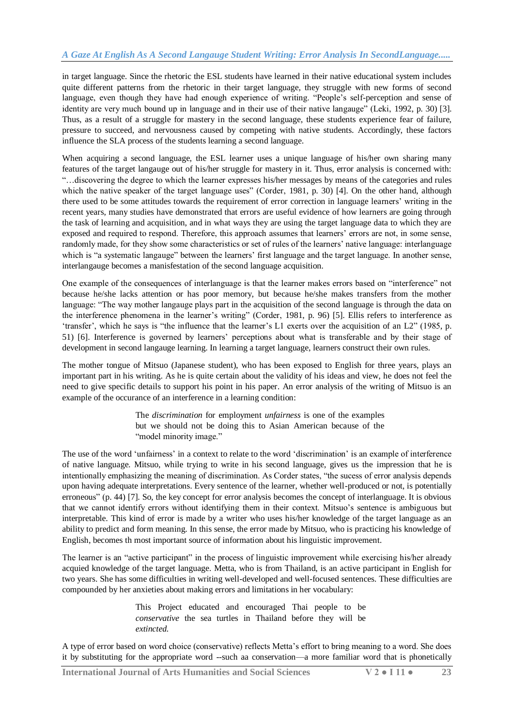in target language. Since the rhetoric the ESL students have learned in their native educational system includes quite different patterns from the rhetoric in their target language, they struggle with new forms of second language, even though they have had enough experience of writing. "People's self-perception and sense of identity are very much bound up in language and in their use of their native langauge" (Leki, 1992, p. 30) [3]. Thus, as a result of a struggle for mastery in the second language, these students experience fear of failure, pressure to succeed, and nervousness caused by competing with native students. Accordingly, these factors influence the SLA process of the students learning a second language.

When acquiring a second language, the ESL learner uses a unique language of his/her own sharing many features of the target langauge out of his/her struggle for mastery in it. Thus, error analysis is concerned with: "…discovering the degree to which the learner expresses his/her messages by means of the categories and rules which the native speaker of the target language uses" (Corder, 1981, p. 30) [4]. On the other hand, although there used to be some attitudes towards the requirement of error correction in language learners" writing in the recent years, many studies have demonstrated that errors are useful evidence of how learners are going through the task of learning and acquisition, and in what ways they are using the target language data to which they are exposed and required to respond. Therefore, this approach assumes that learners' errors are not, in some sense, randomly made, for they show some characteristics or set of rules of the learners' native language: interlanguage which is "a systematic langauge" between the learners' first language and the target language. In another sense, interlangauge becomes a manisfestation of the second language acquisition.

One example of the consequences of interlanguage is that the learner makes errors based on "interference" not because he/she lacks attention or has poor memory, but because he/she makes transfers from the mother language: "The way mother langauge plays part in the acquisition of the second language is through the data on the interference phenomena in the learner's writing" (Corder, 1981, p. 96) [5]. Ellis refers to interference as 'transfer', which he says is "the influence that the learner's L1 exerts over the acquisition of an L2" (1985, p. 51) [6]. Interference is governed by learners" perceptions about what is transferable and by their stage of development in second langauge learning. In learning a target language, learners construct their own rules.

The mother tongue of Mitsuo (Japanese student), who has been exposed to English for three years, plays an important part in his writing. As he is quite certain about the validity of his ideas and view, he does not feel the need to give specific details to support his point in his paper. An error analysis of the writing of Mitsuo is an example of the occurance of an interference in a learning condition:

> The *discrimination* for employment *unfairness* is one of the examples but we should not be doing this to Asian American because of the "model minority image."

The use of the word "unfairness" in a context to relate to the word "discrimination" is an example of interference of native language. Mitsuo, while trying to write in his second language, gives us the impression that he is intentionally emphasizing the meaning of discrimination. As Corder states, "the sucess of error analysis depends upon having adequate interpretations. Every sentence of the learner, whether well-produced or not, is potentially erroneous" (p. 44) [7]. So, the key concept for error analysis becomes the concept of interlanguage. It is obvious that we cannot identify errors without identifying them in their context. Mitsuo"s sentence is ambiguous but interpretable. This kind of error is made by a writer who uses his/her knowledge of the target language as an ability to predict and form meaning. In this sense, the error made by Mitsuo, who is practicing his knowledge of English, becomes th most important source of information about his linguistic improvement.

The learner is an "active participant" in the process of linguistic improvement while exercising his/her already acquied knowledge of the target language. Metta, who is from Thailand, is an active participant in English for two years. She has some difficulties in writing well-developed and well-focused sentences. These difficulties are compounded by her anxieties about making errors and limitations in her vocabulary:

> This Project educated and encouraged Thai people to be *conservative* the sea turtles in Thailand before they will be *extincted.*

A type of error based on word choice (conservative) reflects Metta"s effort to bring meaning to a word. She does it by substituting for the appropriate word --such aa conservation—a more familiar word that is phonetically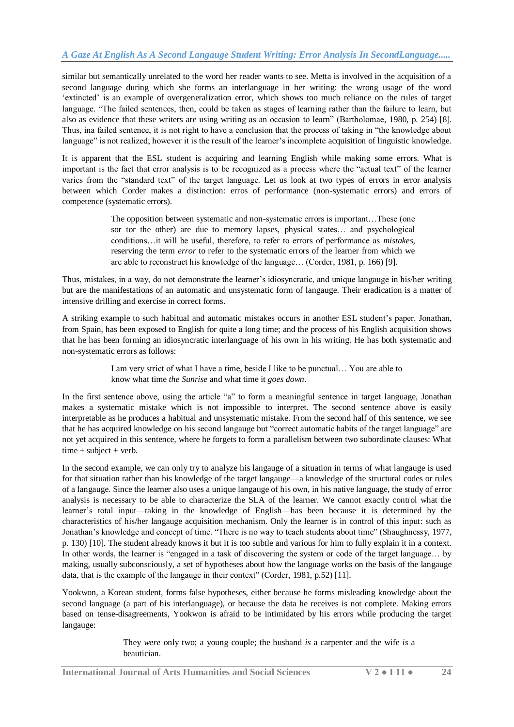similar but semantically unrelated to the word her reader wants to see. Metta is involved in the acquisition of a second language during which she forms an interlanguage in her writing: the wrong usage of the word "extincted" is an example of overgeneralization error, which shows too much reliance on the rules of target language. "The failed sentences, then, could be taken as stages of learning rather than the failure to learn, but also as evidence that these writers are using writing as an occasion to learn" (Bartholomae, 1980, p. 254) [8]. Thus, ina failed sentence, it is not right to have a conclusion that the process of taking in "the knowledge about language" is not realized; however it is the result of the learner's incomplete acquisition of linguistic knowledge.

It is apparent that the ESL student is acquiring and learning English while making some errors. What is important is the fact that error analysis is to be recognized as a process where the "actual text" of the learner varies from the "standard text" of the target language. Let us look at two types of errors in error analysis between which Corder makes a distinction: erros of performance (non-systematic errors) and errors of competence (systematic errors).

> The opposition between systematic and non-systematic errors is important…These (one sor tor the other) are due to memory lapses, physical states… and psychological conditions…it will be useful, therefore, to refer to errors of performance as *mistakes*, reserving the term *error* to refer to the systematic errors of the learner from which we are able to reconstruct his knowledge of the language… (Corder, 1981, p. 166) [9].

Thus, mistakes, in a way, do not demonstrate the learner's idiosyncratic, and unique langauge in his/her writing but are the manifestations of an automatic and unsystematic form of langauge. Their eradication is a matter of intensive drilling and exercise in correct forms.

A striking example to such habitual and automatic mistakes occurs in another ESL student"s paper. Jonathan, from Spain, has been exposed to English for quite a long time; and the process of his English acquisition shows that he has been forming an idiosyncratic interlanguage of his own in his writing. He has both systematic and non-systematic errors as follows:

> I am very strict of what I have a time, beside I like to be punctual… You are able to know what time *the Sunrise* and what time it *goes down*.

In the first sentence above, using the article "a" to form a meaningful sentence in target language, Jonathan makes a systematic mistake which is not impossible to interpret. The second sentence above is easily interpretable as he produces a habitual and unsystematic mistake. From the second half of this sentence, we see that he has acquired knowledge on his second langauge but "correct automatic habits of the target language" are not yet acquired in this sentence, where he forgets to form a parallelism between two subordinate clauses: What  $time + subject + verb.$ 

In the second example, we can only try to analyze his langauge of a situation in terms of what langauge is used for that situation rather than his knowledge of the target langauge—a knowledge of the structural codes or rules of a langauge. Since the learner also uses a unique langauge of his own, in his native language, the study of error analysis is necessary to be able to characterize the SLA of the learner. We cannot exactly control what the learner"s total input—taking in the knowledge of English—has been because it is determined by the characteristics of his/her langauge acquisition mechanism. Only the learner is in control of this input: such as Jonathan"s knowledge and concept of time. "There is no way to teach students about time" (Shaughnessy, 1977, p. 130) [10]. The student already knows it but it is too subtle and various for him to fully explain it in a context. In other words, the learner is "engaged in a task of discovering the system or code of the target language… by making, usually subconsciously, a set of hypotheses about how the language works on the basis of the langauge data, that is the example of the langauge in their context" (Corder, 1981, p.52) [11].

Yookwon, a Korean student, forms false hypotheses, either because he forms misleading knowledge about the second language (a part of his interlanguage), or because the data he receives is not complete. Making errors based on tense-disagreements, Yookwon is afraid to be intimidated by his errors while producing the target langauge:

> They *were* only two; a young couple; the husband *is* a carpenter and the wife *is* a beautician.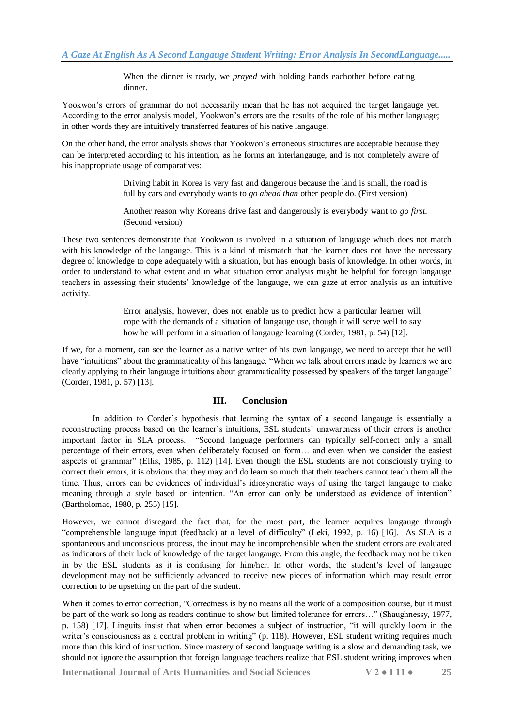When the dinner *is* ready, we *prayed* with holding hands eachother before eating dinner.

Yookwon's errors of grammar do not necessarily mean that he has not acquired the target langauge yet. According to the error analysis model, Yookwon's errors are the results of the role of his mother language; in other words they are intuitively transferred features of his native langauge.

On the other hand, the error analysis shows that Yookwon"s erroneous structures are acceptable because they can be interpreted according to his intention, as he forms an interlangauge, and is not completely aware of his inappropriate usage of comparatives:

> Driving habit in Korea is very fast and dangerous because the land is small, the road is full by cars and everybody wants to *go ahead than* other people do. (First version)

> Another reason why Koreans drive fast and dangerously is everybody want to *go first*. (Second version)

These two sentences demonstrate that Yookwon is involved in a situation of language which does not match with his knowledge of the langauge. This is a kind of mismatch that the learner does not have the necessary degree of knowledge to cope adequately with a situation, but has enough basis of knowledge. In other words, in order to understand to what extent and in what situation error analysis might be helpful for foreign langauge teachers in assessing their students" knowledge of the langauge, we can gaze at error analysis as an intuitive activity.

> Error analysis, however, does not enable us to predict how a particular learner will cope with the demands of a situation of langauge use, though it will serve well to say how he will perform in a situation of langauge learning (Corder, 1981, p. 54) [12].

If we, for a moment, can see the learner as a native writer of his own langauge, we need to accept that he will have "intuitions" about the grammaticality of his language. "When we talk about errors made by learners we are clearly applying to their langauge intuitions about grammaticality possessed by speakers of the target langauge" (Corder, 1981, p. 57) [13].

### **III. Conclusion**

In addition to Corder"s hypothesis that learning the syntax of a second langauge is essentially a reconstructing process based on the learner"s intuitions, ESL students" unawareness of their errors is another important factor in SLA process. "Second language performers can typically self-correct only a small percentage of their errors, even when deliberately focused on form… and even when we consider the easiest aspects of grammar" (Ellis, 1985, p. 112) [14]. Even though the ESL students are not consciously trying to correct their errors, it is obvious that they may and do learn so much that their teachers cannot teach them all the time. Thus, errors can be evidences of individual"s idiosyncratic ways of using the target langauge to make meaning through a style based on intention. "An error can only be understood as evidence of intention" (Bartholomae, 1980, p. 255) [15].

However, we cannot disregard the fact that, for the most part, the learner acquires langauge through "comprehensible langauge input (feedback) at a level of difficulty" (Leki, 1992, p. 16) [16]. As SLA is a spontaneous and unconscious process, the input may be incomprehensible when the student errors are evaluated as indicators of their lack of knowledge of the target langauge. From this angle, the feedback may not be taken in by the ESL students as it is confusing for him/her. In other words, the student's level of language development may not be sufficiently advanced to receive new pieces of information which may result error correction to be upsetting on the part of the student.

When it comes to error correction, "Correctness is by no means all the work of a composition course, but it must be part of the work so long as readers continue to show but limited tolerance for errors…" (Shaughnessy, 1977, p. 158) [17]. Linguits insist that when error becomes a subject of instruction, "it will quickly loom in the writer's consciousness as a central problem in writing" (p. 118). However, ESL student writing requires much more than this kind of instruction. Since mastery of second language writing is a slow and demanding task, we should not ignore the assumption that foreign language teachers realize that ESL student writing improves when

**International Journal of Arts Humanities and Social Sciences V 2 ● I 11 ● 25**